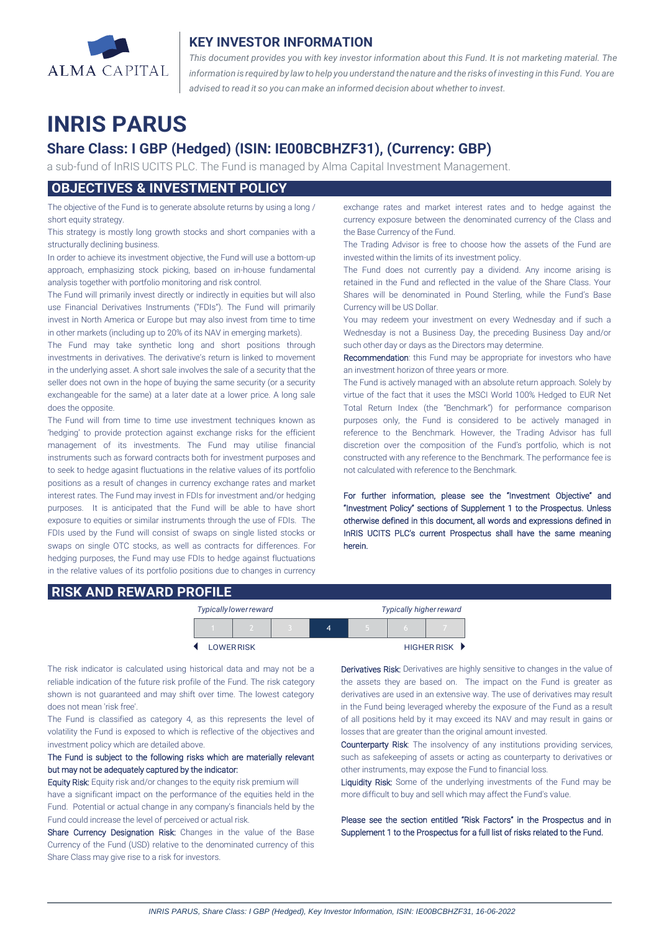

## **KEY INVESTOR INFORMATION**

*This document provides you with key investor information about this Fund. It is not marketing material. The* information is required by law to help you understand the nature and the risks of investing in this Fund. You are *advised to read it so you can make an informed decision about whether to invest.*

# **INRIS PARUS**

## **Share Class: I GBP (Hedged) (ISIN: IE00BCBHZF31), (Currency: GBP)**

a sub-fund of InRIS UCITS PLC. The Fund is managed by Alma Capital Investment Management.

## **OBJECTIVES & INVESTMENT POLICY**

The objective of the Fund is to generate absolute returns by using a long / short equity strategy.

This strategy is mostly long growth stocks and short companies with a structurally declining business.

In order to achieve its investment objective, the Fund will use a bottom-up approach, emphasizing stock picking, based on in-house fundamental analysis together with portfolio monitoring and risk control.

The Fund will primarily invest directly or indirectly in equities but will also use Financial Derivatives Instruments ("FDIs"). The Fund will primarily invest in North America or Europe but may also invest from time to time in other markets (including up to 20% of its NAV in emerging markets).

The Fund may take synthetic long and short positions through investments in derivatives. The derivative's return is linked to movement in the underlying asset. A short sale involves the sale of a security that the seller does not own in the hope of buying the same security (or a security exchangeable for the same) at a later date at a lower price. A long sale does the opposite.

The Fund will from time to time use investment techniques known as 'hedging' to provide protection against exchange risks for the efficient management of its investments. The Fund may utilise financial instruments such as forward contracts both for investment purposes and to seek to hedge agasint fluctuations in the relative values of its portfolio positions as a result of changes in currency exchange rates and market interest rates. The Fund may invest in FDIs for investment and/or hedging purposes. It is anticipated that the Fund will be able to have short exposure to equities or similar instruments through the use of FDIs. The FDIs used by the Fund will consist of swaps on single listed stocks or swaps on single OTC stocks, as well as contracts for differences. For hedging purposes, the Fund may use FDIs to hedge against fluctuations in the relative values of its portfolio positions due to changes in currency exchange rates and market interest rates and to hedge against the currency exposure between the denominated currency of the Class and the Base Currency of the Fund.

The Trading Advisor is free to choose how the assets of the Fund are invested within the limits of its investment policy.

The Fund does not currently pay a dividend. Any income arising is retained in the Fund and reflected in the value of the Share Class. Your Shares will be denominated in Pound Sterling, while the Fund's Base Currency will be US Dollar.

You may redeem your investment on every Wednesday and if such a Wednesday is not a Business Day, the preceding Business Day and/or such other day or days as the Directors may determine.

Recommendation: this Fund may be appropriate for investors who have an investment horizon of three years or more.

The Fund is actively managed with an absolute return approach. Solely by virtue of the fact that it uses the MSCI World 100% Hedged to EUR Net Total Return Index (the "Benchmark") for performance comparison purposes only, the Fund is considered to be actively managed in reference to the Benchmark. However, the Trading Advisor has full discretion over the composition of the Fund's portfolio, which is not constructed with any reference to the Benchmark. The performance fee is not calculated with reference to the Benchmark.

For further information, please see the "Investment Objective" and "Investment Policy" sections of Supplement 1 to the Prospectus. Unless otherwise defined in this document, all words and expressions defined in InRIS UCITS PLC's current Prospectus shall have the same meaning herein.

## **RISK AND REWARD PROFILE**

|                   | <b>Typically lower reward</b> |  | <b>Typically higher reward</b> |  |  |             |
|-------------------|-------------------------------|--|--------------------------------|--|--|-------------|
|                   |                               |  | 4                              |  |  |             |
| <b>LOWER RISK</b> |                               |  |                                |  |  | HIGHER RISK |

The risk indicator is calculated using historical data and may not be a reliable indication of the future risk profile of the Fund. The risk category shown is not guaranteed and may shift over time. The lowest category does not mean 'risk free'.

The Fund is classified as category 4, as this represents the level of volatility the Fund is exposed to which is reflective of the objectives and investment policy which are detailed above.

### The Fund is subject to the following risks which are materially relevant but may not be adequately captured by the indicator:

Equity Risk: Equity risk and/or changes to the equity risk premium will have a significant impact on the performance of the equities held in the Fund. Potential or actual change in any company's financials held by the Fund could increase the level of perceived or actual risk.

Share Currency Designation Risk: Changes in the value of the Base Currency of the Fund (USD) relative to the denominated currency of this Share Class may give rise to a risk for investors.

Derivatives Risk: Derivatives are highly sensitive to changes in the value of the assets they are based on. The impact on the Fund is greater as derivatives are used in an extensive way. The use of derivatives may result in the Fund being leveraged whereby the exposure of the Fund as a result of all positions held by it may exceed its NAV and may result in gains or losses that are greater than the original amount invested.

Counterparty Risk: The insolvency of any institutions providing services, such as safekeeping of assets or acting as counterparty to derivatives or other instruments, may expose the Fund to financial loss.

Liquidity Risk: Some of the underlying investments of the Fund may be more difficult to buy and sell which may affect the Fund's value.

Please see the section entitled "Risk Factors" in the Prospectus and in Supplement 1 to the Prospectus for a full list of risks related to the Fund.